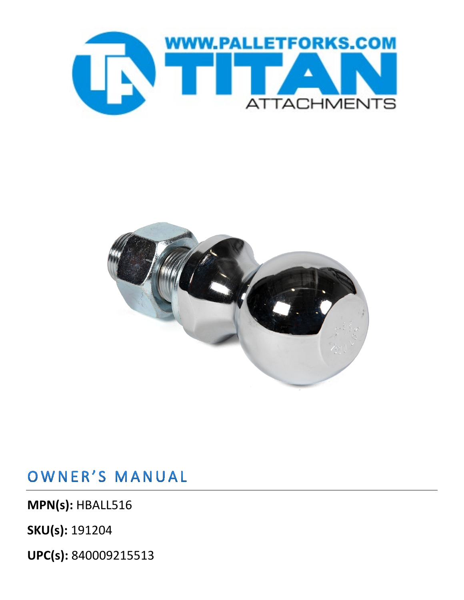



OWNER'S MANUAL

**MPN(s):** HBALL516

**SKU(s):** 191204

**UPC(s):** 840009215513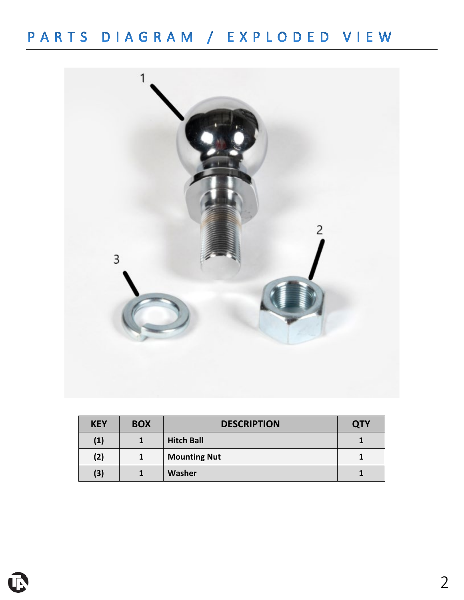

| <b>KEY</b> | <b>BOX</b> | <b>DESCRIPTION</b>  | <b>QTY</b> |
|------------|------------|---------------------|------------|
| (1)        |            | <b>Hitch Ball</b>   |            |
| (2)        |            | <b>Mounting Nut</b> |            |
| (3)        |            | <b>Washer</b>       |            |